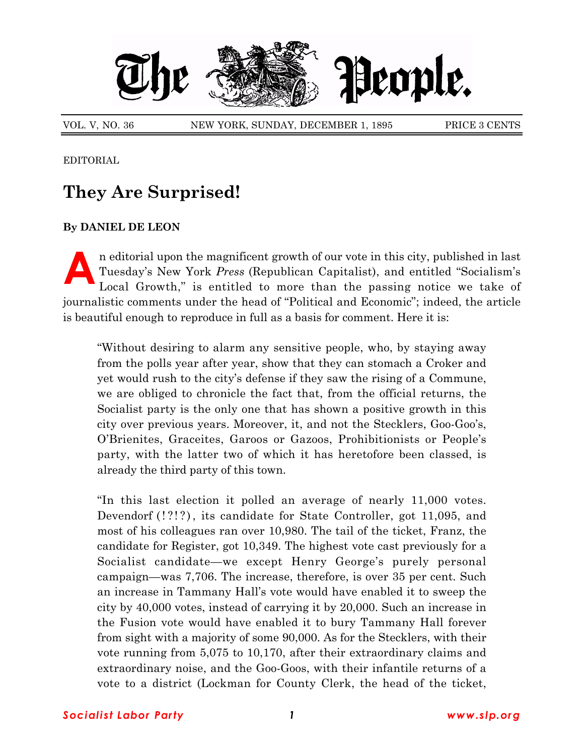

VOL. V, NO. 36 NEW YORK, SUNDAY, DECEMBER 1, 1895 PRICE 3 CENTS

EDITORIAL

## **They Are Surprised!**

## **By DANIEL DE LEON**

In editorial upon the magnificent growth of our vote in this city, published in last<br>Tuesday's New York *Press* (Republican Capitalist), and entitled "Socialism's<br>Local Growth," is entitled to more than the passing notice Tuesday's New York *Press* (Republican Capitalist), and entitled "Socialism's Local Growth," is entitled to more than the passing notice we take of journalistic comments under the head of "Political and Economic"; indeed, the article is beautiful enough to reproduce in full as a basis for comment. Here it is:

ìWithout desiring to alarm any sensitive people, who, by staying away from the polls year after year, show that they can stomach a Croker and yet would rush to the cityís defense if they saw the rising of a Commune, we are obliged to chronicle the fact that, from the official returns, the Socialist party is the only one that has shown a positive growth in this city over previous years. Moreover, it, and not the Stecklers, Goo-Gooís, OíBrienites, Graceites, Garoos or Gazoos, Prohibitionists or Peopleís party, with the latter two of which it has heretofore been classed, is already the third party of this town.

In this last election it polled an average of nearly  $11,000$  votes. Devendorf (!?!?), its candidate for State Controller, got 11,095, and most of his colleagues ran over 10,980. The tail of the ticket, Franz, the candidate for Register, got 10,349. The highest vote cast previously for a Socialist candidate—we except Henry George's purely personal campaign—was 7,706. The increase, therefore, is over 35 per cent. Such an increase in Tammany Hallís vote would have enabled it to sweep the city by 40,000 votes, instead of carrying it by 20,000. Such an increase in the Fusion vote would have enabled it to bury Tammany Hall forever from sight with a majority of some 90,000. As for the Stecklers, with their vote running from 5,075 to 10,170, after their extraordinary claims and extraordinary noise, and the Goo-Goos, with their infantile returns of a vote to a district (Lockman for County Clerk, the head of the ticket,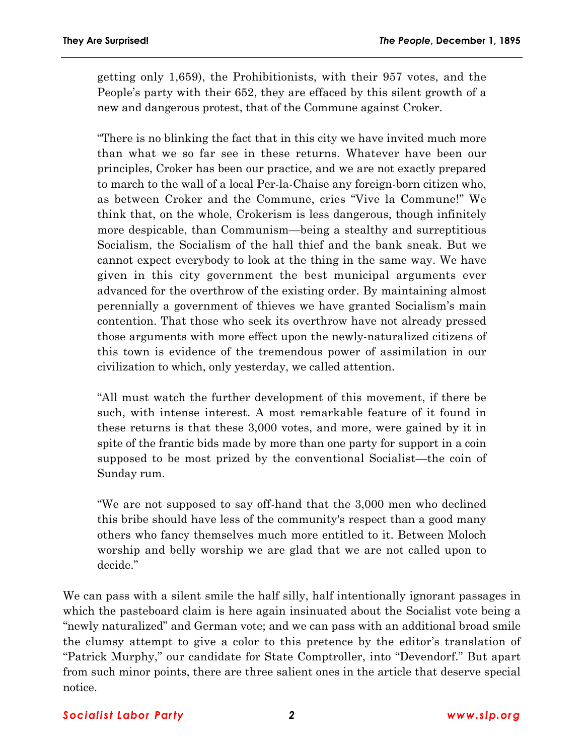getting only 1,659), the Prohibitionists, with their 957 votes, and the People's party with their 652, they are effaced by this silent growth of a new and dangerous protest, that of the Commune against Croker.

ìThere is no blinking the fact that in this city we have invited much more than what we so far see in these returns. Whatever have been our principles, Croker has been our practice, and we are not exactly prepared to march to the wall of a local Per-la-Chaise any foreign-born citizen who, as between Croker and the Commune, cries "Vive la Commune!" We think that, on the whole, Crokerism is less dangerous, though infinitely more despicable, than Communism—being a stealthy and surreptitious Socialism, the Socialism of the hall thief and the bank sneak. But we cannot expect everybody to look at the thing in the same way. We have given in this city government the best municipal arguments ever advanced for the overthrow of the existing order. By maintaining almost perennially a government of thieves we have granted Socialismís main contention. That those who seek its overthrow have not already pressed those arguments with more effect upon the newly-naturalized citizens of this town is evidence of the tremendous power of assimilation in our civilization to which, only yesterday, we called attention.

ìAll must watch the further development of this movement, if there be such, with intense interest. A most remarkable feature of it found in these returns is that these 3,000 votes, and more, were gained by it in spite of the frantic bids made by more than one party for support in a coin supposed to be most prized by the conventional Socialist—the coin of Sunday rum.

ìWe are not supposed to say off-hand that the 3,000 men who declined this bribe should have less of the community's respect than a good many others who fancy themselves much more entitled to it. Between Moloch worship and belly worship we are glad that we are not called upon to decide."

We can pass with a silent smile the half silly, half intentionally ignorant passages in which the pasteboard claim is here again insinuated about the Socialist vote being a ìnewly naturalizedî and German vote; and we can pass with an additional broad smile the clumsy attempt to give a color to this pretence by the editor's translation of "Patrick Murphy," our candidate for State Comptroller, into "Devendorf." But apart from such minor points, there are three salient ones in the article that deserve special notice.

## *Socialist Labor Party 2 www.slp.org*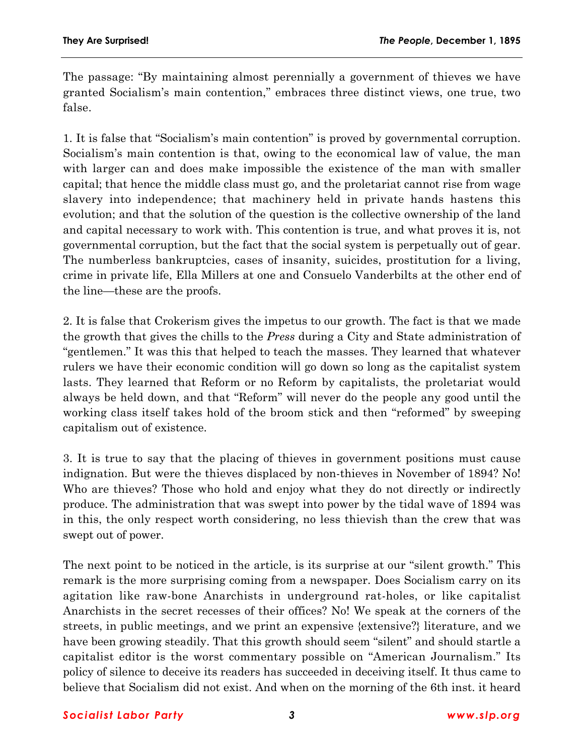The passage: "By maintaining almost perennially a government of thieves we have granted Socialismís main contention,î embraces three distinct views, one true, two false.

1. It is false that "Socialism's main contention" is proved by governmental corruption. Socialism's main contention is that, owing to the economical law of value, the man with larger can and does make impossible the existence of the man with smaller capital; that hence the middle class must go, and the proletariat cannot rise from wage slavery into independence; that machinery held in private hands hastens this evolution; and that the solution of the question is the collective ownership of the land and capital necessary to work with. This contention is true, and what proves it is, not governmental corruption, but the fact that the social system is perpetually out of gear. The numberless bankruptcies, cases of insanity, suicides, prostitution for a living, crime in private life, Ella Millers at one and Consuelo Vanderbilts at the other end of the line—these are the proofs.

2. It is false that Crokerism gives the impetus to our growth. The fact is that we made the growth that gives the chills to the *Press* during a City and State administration of ìgentlemen.î It was this that helped to teach the masses. They learned that whatever rulers we have their economic condition will go down so long as the capitalist system lasts. They learned that Reform or no Reform by capitalists, the proletariat would always be held down, and that "Reform" will never do the people any good until the working class itself takes hold of the broom stick and then "reformed" by sweeping capitalism out of existence.

3. It is true to say that the placing of thieves in government positions must cause indignation. But were the thieves displaced by non-thieves in November of 1894? No! Who are thieves? Those who hold and enjoy what they do not directly or indirectly produce. The administration that was swept into power by the tidal wave of 1894 was in this, the only respect worth considering, no less thievish than the crew that was swept out of power.

The next point to be noticed in the article, is its surprise at our "silent growth." This remark is the more surprising coming from a newspaper. Does Socialism carry on its agitation like raw-bone Anarchists in underground rat-holes, or like capitalist Anarchists in the secret recesses of their offices? No! We speak at the corners of the streets, in public meetings, and we print an expensive {extensive?} literature, and we have been growing steadily. That this growth should seem "silent" and should startle a capitalist editor is the worst commentary possible on "American Journalism." Its policy of silence to deceive its readers has succeeded in deceiving itself. It thus came to believe that Socialism did not exist. And when on the morning of the 6th inst. it heard

## *Socialist Labor Party 3 www.slp.org*